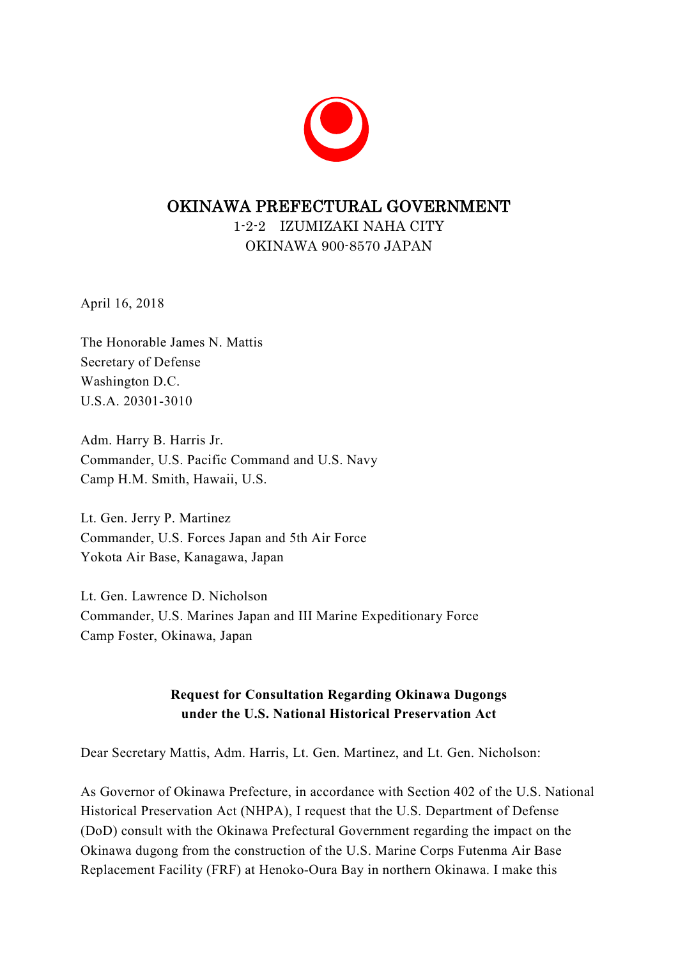

# OKINAWA PREFECTURAL GOVERNMENT

1-2-2 IZUMIZAKI NAHA CITY OKINAWA 900-8570 JAPAN

April 16, 2018

The Honorable James N. Mattis Secretary of Defense Washington D.C. U.S.A. 20301-3010

Adm. Harry B. Harris Jr. Commander, U.S. Pacific Command and U.S. Navy Camp H.M. Smith, Hawaii, U.S.

Lt. Gen. Jerry P. Martinez Commander, U.S. Forces Japan and 5th Air Force Yokota Air Base, Kanagawa, Japan

Lt. Gen. Lawrence D. Nicholson Commander, U.S. Marines Japan and III Marine Expeditionary Force Camp Foster, Okinawa, Japan

## **Request for Consultation Regarding Okinawa Dugongs under the U.S. National Historical Preservation Act**

Dear Secretary Mattis, Adm. Harris, Lt. Gen. Martinez, and Lt. Gen. Nicholson:

As Governor of Okinawa Prefecture, in accordance with Section 402 of the U.S. National Historical Preservation Act (NHPA), I request that the U.S. Department of Defense (DoD) consult with the Okinawa Prefectural Government regarding the impact on the Okinawa dugong from the construction of the U.S. Marine Corps Futenma Air Base Replacement Facility (FRF) at Henoko-Oura Bay in northern Okinawa. I make this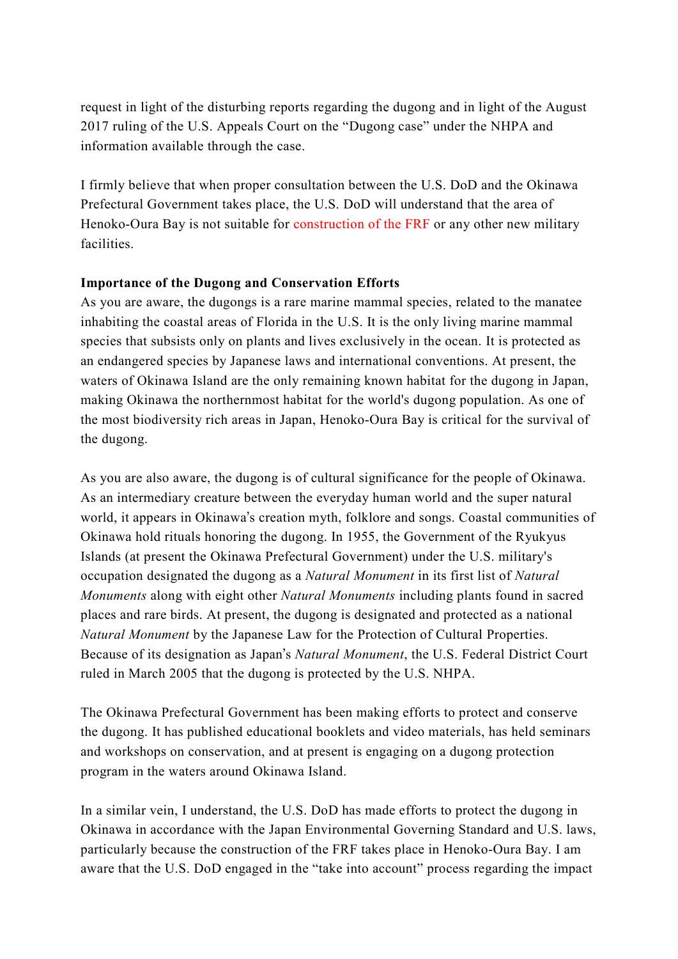request in light of the disturbing reports regarding the dugong and in light of the August 2017 ruling of the U.S. Appeals Court on the "Dugong case" under the NHPA and information available through the case.

I firmly believe that when proper consultation between the U.S. DoD and the Okinawa Prefectural Government takes place, the U.S. DoD will understand that the area of Henoko-Oura Bay is not suitable for construction of the FRF or any other new military facilities.

#### **Importance of the Dugong and Conservation Efforts**

As you are aware, the dugongs is a rare marine mammal species, related to the manatee inhabiting the coastal areas of Florida in the U.S. It is the only living marine mammal species that subsists only on plants and lives exclusively in the ocean. It is protected as an endangered species by Japanese laws and international conventions. At present, the waters of Okinawa Island are the only remaining known habitat for the dugong in Japan, making Okinawa the northernmost habitat for the world's dugong population. As one of the most biodiversity rich areas in Japan, Henoko-Oura Bay is critical for the survival of the dugong.

As you are also aware, the dugong is of cultural significance for the people of Okinawa. As an intermediary creature between the everyday human world and the super natural world, it appears in Okinawa's creation myth, folklore and songs. Coastal communities of Okinawa hold rituals honoring the dugong. In 1955, the Government of the Ryukyus Islands (at present the Okinawa Prefectural Government) under the U.S. military's occupation designated the dugong as a *Natural Monument* in its first list of *Natural Monuments* along with eight other *Natural Monuments* including plants found in sacred places and rare birds. At present, the dugong is designated and protected as a national *Natural Monument* by the Japanese Law for the Protection of Cultural Properties. Because of its designation as Japan's *Natural Monument*, the U.S. Federal District Court ruled in March 2005 that the dugong is protected by the U.S. NHPA.

The Okinawa Prefectural Government has been making efforts to protect and conserve the dugong. It has published educational booklets and video materials, has held seminars and workshops on conservation, and at present is engaging on a dugong protection program in the waters around Okinawa Island.

In a similar vein, I understand, the U.S. DoD has made efforts to protect the dugong in Okinawa in accordance with the Japan Environmental Governing Standard and U.S. laws, particularly because the construction of the FRF takes place in Henoko-Oura Bay. I am aware that the U.S. DoD engaged in the "take into account" process regarding the impact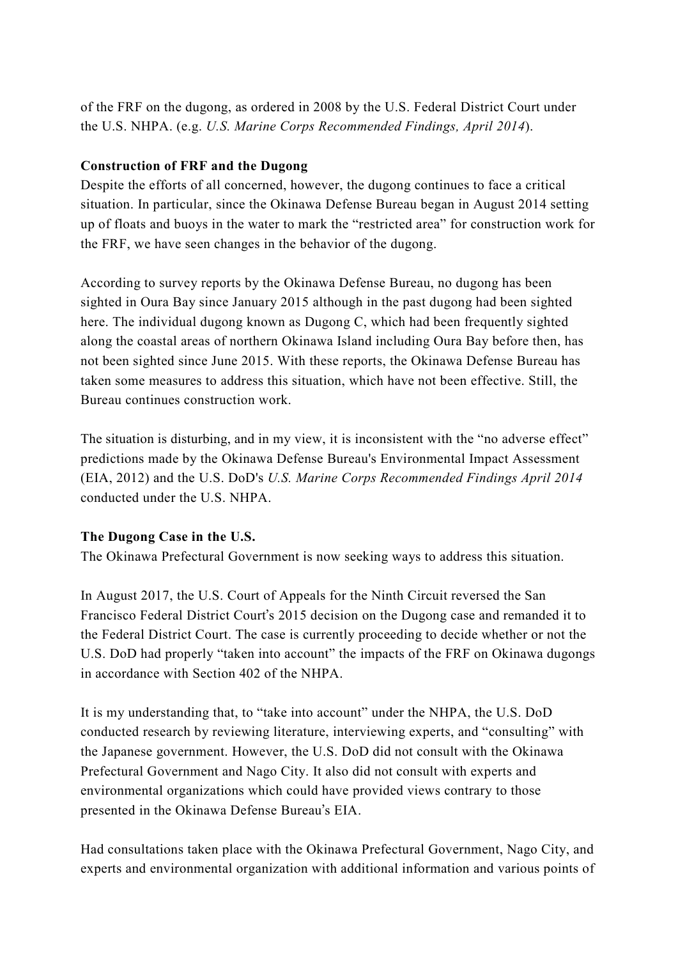of the FRF on the dugong, as ordered in 2008 by the U.S. Federal District Court under the U.S. NHPA. (e.g. *U.S. Marine Corps Recommended Findings, April 2014*).

### **Construction of FRF and the Dugong**

Despite the efforts of all concerned, however, the dugong continues to face a critical situation. In particular, since the Okinawa Defense Bureau began in August 2014 setting up of floats and buoys in the water to mark the "restricted area" for construction work for the FRF, we have seen changes in the behavior of the dugong.

According to survey reports by the Okinawa Defense Bureau, no dugong has been sighted in Oura Bay since January 2015 although in the past dugong had been sighted here. The individual dugong known as Dugong C, which had been frequently sighted along the coastal areas of northern Okinawa Island including Oura Bay before then, has not been sighted since June 2015. With these reports, the Okinawa Defense Bureau has taken some measures to address this situation, which have not been effective. Still, the Bureau continues construction work.

The situation is disturbing, and in my view, it is inconsistent with the "no adverse effect" predictions made by the Okinawa Defense Bureau's Environmental Impact Assessment (EIA, 2012) and the U.S. DoD's *U.S. Marine Corps Recommended Findings April 2014* conducted under the U.S. NHPA.

## **The Dugong Case in the U.S.**

The Okinawa Prefectural Government is now seeking ways to address this situation.

In August 2017, the U.S. Court of Appeals for the Ninth Circuit reversed the San Francisco Federal District Court's 2015 decision on the Dugong case and remanded it to the Federal District Court. The case is currently proceeding to decide whether or not the U.S. DoD had properly "taken into account" the impacts of the FRF on Okinawa dugongs in accordance with Section 402 of the NHPA.

It is my understanding that, to "take into account" under the NHPA, the U.S. DoD conducted research by reviewing literature, interviewing experts, and "consulting" with the Japanese government. However, the U.S. DoD did not consult with the Okinawa Prefectural Government and Nago City. It also did not consult with experts and environmental organizations which could have provided views contrary to those presented in the Okinawa Defense Bureau's EIA.

Had consultations taken place with the Okinawa Prefectural Government, Nago City, and experts and environmental organization with additional information and various points of